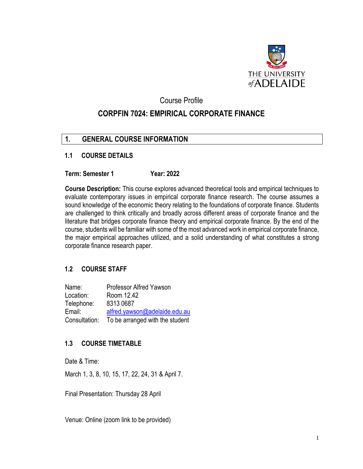

## Course Profile

# **CORPFIN 7024: EMPIRICAL CORPORATE FINANCE**

# **1. GENERAL COURSE INFORMATION**

#### **1.1 COURSE DETAILS**

#### **Term: Semester 1 Year: 2022**

**Course Description:** This course explores advanced theoretical tools and empirical techniques to evaluate contemporary issues in empirical corporate finance research. The course assumes a sound knowledge of the economic theory relating to the foundations of corporate finance. Students are challenged to think critically and broadly across different areas of corporate finance and the literature that bridges corporate finance theory and empirical corporate finance. By the end of the course, students will be familiar with some of the most advanced work in empirical corporate finance, the major empirical approaches utilized, and a solid understanding of what constitutes a strong corporate finance research paper.

## **1.2 COURSE STAFF**

| Name:         | Professor Alfred Yawson         |
|---------------|---------------------------------|
| Location:     | Room 12.42                      |
| Telephone:    | 8313 0687                       |
| Email:        | alfred.yawson@adelaide.edu.au   |
| Consultation: | To be arranged with the student |

## **1.3 COURSE TIMETABLE**

Date & Time:

March 1, 3, 8, 10, 15, 17, 22, 24, 31 & April 7.

Final Presentation: Thursday 28 April

Venue: Online (zoom link to be provided)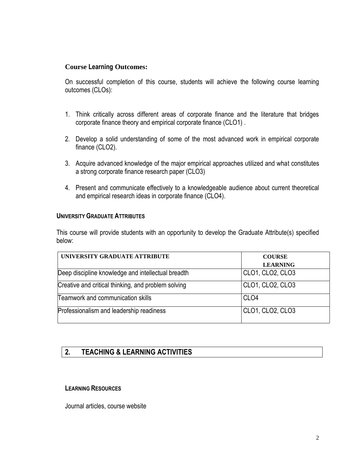#### **Course Learning Outcomes:**

On successful completion of this course, students will achieve the following course learning outcomes (CLOs):

- 1. Think critically across different areas of corporate finance and the literature that bridges corporate finance theory and empirical corporate finance (CLO1) .
- 2. Develop a solid understanding of some of the most advanced work in empirical corporate finance (CLO2).
- 3. Acquire advanced knowledge of the major empirical approaches utilized and what constitutes a strong corporate finance research paper (CLO3)
- 4. Present and communicate effectively to a knowledgeable audience about current theoretical and empirical research ideas in corporate finance (CLO4).

#### **UNIVERSITY GRADUATE ATTRIBUTES**

This course will provide students with an opportunity to develop the Graduate Attribute(s) specified below:

| UNIVERSITY GRADUATE ATTRIBUTE                       | <b>COURSE</b>    |
|-----------------------------------------------------|------------------|
|                                                     | <b>LEARNING</b>  |
| Deep discipline knowledge and intellectual breadth  | CLO1, CLO2, CLO3 |
| Creative and critical thinking, and problem solving | CLO1, CLO2, CLO3 |
| Teamwork and communication skills                   | CLO <sub>4</sub> |
| Professionalism and leadership readiness            | CLO1, CLO2, CLO3 |

# **2. TEACHING & LEARNING ACTIVITIES**

#### **LEARNING RESOURCES**

Journal articles, course website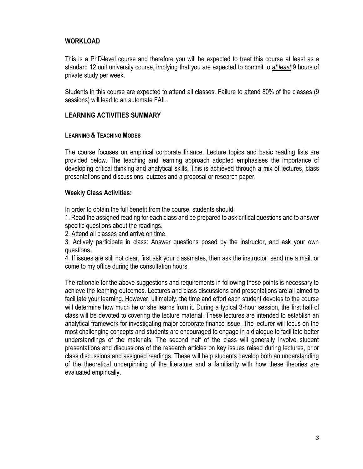## **WORKLOAD**

This is a PhD-level course and therefore you will be expected to treat this course at least as a standard 12 unit university course, implying that you are expected to commit to *at least* 9 hours of private study per week.

Students in this course are expected to attend all classes*.* Failure to attend 80% of the classes (9 sessions) will lead to an automate FAIL.

#### **LEARNING ACTIVITIES SUMMARY**

#### **LEARNING & TEACHING MODES**

The course focuses on empirical corporate finance. Lecture topics and basic reading lists are provided below. The teaching and learning approach adopted emphasises the importance of developing critical thinking and analytical skills. This is achieved through a mix of lectures, class presentations and discussions, quizzes and a proposal or research paper.

#### **Weekly Class Activities:**

In order to obtain the full benefit from the course, students should:

1. Read the assigned reading for each class and be prepared to ask critical questions and to answer specific questions about the readings.

2. Attend all classes and arrive on time.

3. Actively participate in class: Answer questions posed by the instructor, and ask your own questions.

4. If issues are still not clear, first ask your classmates, then ask the instructor, send me a mail, or come to my office during the consultation hours.

The rationale for the above suggestions and requirements in following these points is necessary to achieve the learning outcomes. Lectures and class discussions and presentations are all aimed to facilitate your learning. However, ultimately, the time and effort each student devotes to the course will determine how much he or she learns from it. During a typical 3-hour session, the first half of class will be devoted to covering the lecture material. These lectures are intended to establish an analytical framework for investigating major corporate finance issue. The lecturer will focus on the most challenging concepts and students are encouraged to engage in a dialogue to facilitate better understandings of the materials. The second half of the class will generally involve student presentations and discussions of the research articles on key issues raised during lectures, prior class discussions and assigned readings. These will help students develop both an understanding of the theoretical underpinning of the literature and a familiarity with how these theories are evaluated empirically.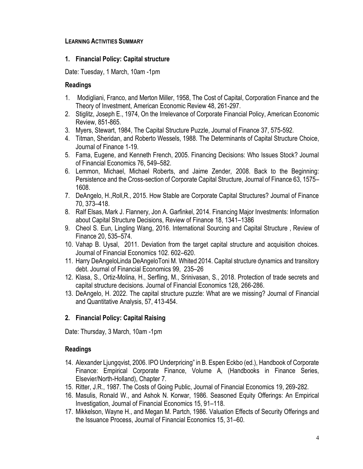## **LEARNING ACTIVITIES SUMMARY**

#### **1. Financial Policy: Capital structure**

Date: Tuesday, 1 March, 10am -1pm

### **Readings**

- 1. Modigliani, Franco, and Merton Miller, 1958, The Cost of Capital, Corporation Finance and the Theory of Investment, American Economic Review 48, 261-297.
- 2. Stiglitz, Joseph E., 1974, On the Irrelevance of Corporate Financial Policy, American Economic Review, 851-865.
- 3. Myers, Stewart, 1984, The Capital Structure Puzzle, Journal of Finance 37, 575-592.
- 4. Titman, Sheridan, and Roberto Wessels, 1988. [The Determinants of Capital Structure Choice,](http://www.jstor.org/view/00221082/di992011/99p03034/0) Journal of Finance 1-19.
- 5. Fama, Eugene, and Kenneth French, 2005. Financing Decisions: Who Issues Stock? Journal of Financial Economics 76, 549–582.
- 6. Lemmon, Michael, Michael Roberts, and Jaime Zender, 2008. Back to the Beginning: Persistence and the Cross-section of Corporate Capital Structure, Journal of Finance 63, 1575– 1608.
- 7. DeAngelo, H.,Roll,R., 2015. How Stable are Corporate Capital Structures? Journal of Finance 70, 373–418.
- 8. Ralf Elsas, Mark J. Flannery, Jon A. Garfinkel, 2014. Financing Major Investments: Information about Capital Structure Decisions, Review of Finance 18, 1341–1386
- 9. Cheol S. Eun, Lingling Wang, 2016. International Sourcing and Capital Structure , Review of Finance 20, 535–574.
- 10. Vahap B. Uysal, 2011. Deviation from the target capital structure and acquisition choices. Journal of Financial Economics 102. 602–620.
- 11. Harry DeAngeloLinda DeAngeloToni M. Whited 2014. Capital structure dynamics and transitory debt. Journal of Financial Economics 99, 235–26
- 12. Klasa, S., Ortiz-Molina, H., Serfling, M., Srinivasan, S., 2018. Protection of trade secrets and capital structure decisions. Journal of Financial Economics 128, 266-286.
- 13. DeAngelo, H. 2022. The capital structure puzzle: What are we missing? Journal of Financial and Quantitative Analysis, 57, 413-454.

## **2. Financial Policy: Capital Raising**

Date: Thursday, 3 March, 10am -1pm

- 14. Alexander Ljungqvist, 2006. IPO Underpricing" in B. Espen Eckbo (ed.), Handbook of Corporate Finance: Empirical Corporate Finance, Volume A, (Handbooks in Finance Series, Elsevier/North-Holland), Chapter 7.
- 15. Ritter, J.R., 1987. The Costs of Going Public, Journal of Financial Economics 19, 269-282.
- 16. Masulis, Ronald W., and Ashok N. Korwar, 1986. [Seasoned Equity Offerings: An Empirical](http://www.sciencedirect.com/science/article/B6VBX-45MFSDG-3F/2/65571a01575d7b80782ddd6b63ae7239)  [Investigation,](http://www.sciencedirect.com/science/article/B6VBX-45MFSDG-3F/2/65571a01575d7b80782ddd6b63ae7239) Journal of Financial Economics 15, 91–118.
- 17. Mikkelson, Wayne H., and Megan M. Partch, 1986. [Valuation Effects of Security Offerings and](http://www.sciencedirect.com/science/article/B6VBX-45MFSDG-3C/2/bbeedbf09f1abce6e7f9f78b047a033d)  [the Issuance Process,](http://www.sciencedirect.com/science/article/B6VBX-45MFSDG-3C/2/bbeedbf09f1abce6e7f9f78b047a033d) Journal of Financial Economics 15, 31–60.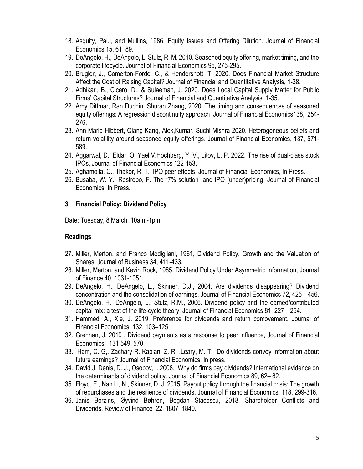- 18. Asquity, Paul, and Mullins, 1986. [Equity Issues and Offering Dilution.](http://www.sciencedirect.com/science?_ob=ArticleURL&_udi=B6VBX-45MFSDG-3D&_user=489256&_rdoc=1&_fmt=&_orig=search&_sort=d&view=c&_acct=C000022721&_version=1&_urlVersion=0&_userid=489256&md5=828ff3bb7498d39ef805c9347a0594dd) Journal of Financial Economics 15, 61−89.
- 19. DeAngelo, H., DeAngelo, L. Stulz, R. M. 2010. Seasoned equity offering, market timing, and the corporate lifecycle. Journal of Financial Economics 95, 275-295.
- 20. Brugler, J., Comerton-Forde, C., & Hendershott, T. 2020. Does Financial Market Structure Affect the Cost of Raising Capital? Journal of Financial and Quantitative Analysis, 1-38.
- 21. Adhikari, B., Cicero, D., & Sulaeman, J. 2020. Does Local Capital Supply Matter for Public Firms' Capital Structures? Journal of Financial and Quantitative Analysis, 1-35.
- 22. Amy Dittmar, Ran Duchin ,Shuran Zhang, 2020. The timing and consequences of seasoned equity offerings: A regression discontinuity approach. Journal of Financial Economics138, 254- 276.
- 23. Ann Marie Hibbert, Qiang Kang, Alok,Kumar, Suchi Mishra 2020. Heterogeneous beliefs and return volatility around seasoned equity offerings. Journal of Financial Economics, 137, 571- 589.
- 24. Aggarwal, D., Eldar, O. Yael V.Hochberg, Y. V., Litov, L. P. 2022. The rise of dual-class stock IPOs, Journal of Financial Economics 122-153.
- 25. Aghamolla, C., Thakor, R. T. IPO peer effects. Journal of Financial Economics, In Press.
- 26. Busaba, W. Y., Restrepo, F. The "7% solution" and IPO (under)pricing. Journal of Financial Economics, In Press.

## **3. Financial Policy: Dividend Policy**

Date: Tuesday, 8 March, 10am -1pm

- 27. Miller, Merton, and Franco Modigliani, 1961, Dividend Policy, Growth and the Valuation of Shares, Journal of Business 34, 411-433.
- 28. Miller, Merton, and Kevin Rock, 1985, Dividend Policy Under Asymmetric Information, Journal of Finance 40, 1031-1051.
- 29. DeAngelo, H., DeAngelo, L., Skinner, D.J., 2004. Are dividends disappearing? Dividend concentration and the consolidation of earnings. Journal of Financial Economics 72, 425—456.
- 30. DeAngelo, H., DeAngelo, L., Stulz, R.M., 2006. Dividend policy and the earned/contributed capital mix: a test of the life-cycle theory. Journal of Financial Economics 81, 227—254.
- 31. Hammed, A., Xie, J. 2019. Preference for dividends and return comovement. Journal of Financial Economics, 132, 103–125.
- 32. Grennan, J. 2019 , Dividend payments as a response to peer influence, Journal of Financial Economics 131 549–570.
- 33. Ham, C. G,. Zachary R. Kaplan, Z. R. .Leary, M. T. Do dividends convey information about future earnings? Journal of Financial Economics, In press.
- 34. David J. Denis, D. J., Osobov, I. 2008. Why do firms pay dividends? International evidence on the determinants of dividend policy. Journal of Financial Economics 89, 62– 82.
- 35. Floyd, E., Nan Li, N., Skinner, D. J. 2015. Payout policy through the financial crisis: The growth of repurchases and the resilience of dividends. Journal of Financial Economics, 118, 299-316.
- 36. Janis Berzins, Øyvind Bøhren, Bogdan Stacescu, 2018. Shareholder Conflicts and Dividends, Review of Finance 22, 1807–1840.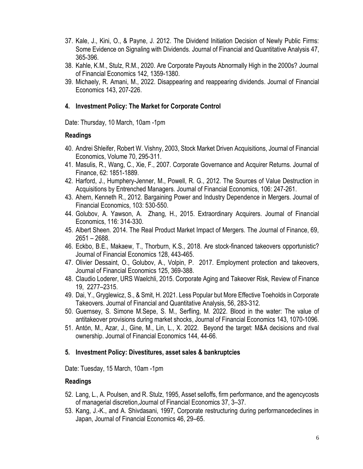- 37. Kale, J., Kini, O., & Payne, J. 2012. The Dividend Initiation Decision of Newly Public Firms: Some Evidence on Signaling with Dividends. Journal of Financial and Quantitative Analysis 47, 365-396.
- 38. Kahle, K.M., Stulz, R.M., 2020. Are Corporate Payouts Abnormally High in the 2000s? Journal of Financial Economics 142, 1359-1380.
- 39. Michaely, R. Amani, M., 2022. Disappearing and reappearing dividends. Journal of Financial Economics 143, 207-226.

## **4. Investment Policy: The Market for Corporate Control**

Date: Thursday, 10 March, 10am -1pm

#### **Readings**

- 40. Andrei Shleifer, Robert W. Vishny, 2003, Stock Market Driven Acquisitions, Journal of Financial Economics, Volume 70, 295-311.
- 41. Masulis, R., Wang, C., Xie, F., 2007. Corporate Governance and Acquirer Returns. Journal of Finance, 62: 1851-1889.
- 42. Harford, J., Humphery-Jenner, M., Powell, R. G., 2012. The Sources of Value Destruction in Acquisitions by Entrenched Managers. Journal of Financial Economics, 106: 247-261.
- 43. Ahern, Kenneth R., 2012. Bargaining Power and Industry Dependence in Mergers. Journal of Financial Economics, 103: 530-550.
- 44. Golubov, A. Yawson, A. Zhang, H., 2015. Extraordinary Acquirers. Journal of Financial Economics, 116: 314-330.
- 45. Albert Sheen. 2014. The Real Product Market Impact of Mergers. The Journal of Finance, 69, 2651 – 2688.
- 46. Eckbo, B.E., Makaew, T., Thorburn, K.S., 2018. Are stock-financed takeovers opportunistic? Journal of Financial Economics 128, 443-465.
- 47. Olivier Dessaint, O., Golubov, A., Volpin, P. 2017. [Employment protection and takeovers,](http://www.sciencedirect.com/science/article/pii/S0304405X1730096X) Journal of Financial Economics 125, 369-388.
- 48. Claudio Loderer, URS Waelchli, 2015. Corporate Aging and Takeover Risk, Review of Finance 19, 2277–2315.
- 49. Dai, Y., Gryglewicz, S., & Smit, H. 2021. Less Popular but More Effective Toeholds in Corporate Takeovers. Journal of Financial and Quantitative Analysis, 56, 283-312.
- 50. Guernsey, S. Simone M.Sepe, S. M., Serfling, M. 2022. Blood in the water: The value of antitakeover provisions during market shocks, Journal of Financial Economics 143, 1070-1096.
- 51. Antón, M., Azar, J., Gine, M., Lin, L., X. 2022. Beyond the target: M&A decisions and rival ownership. Journal of Financial Economics 144, 44-66.

## **5. Investment Policy: Divestitures, asset sales & bankruptcies**

Date: Tuesday, 15 March, 10am -1pm

- 52. Lang, L., A. Poulsen, and R. Stulz, 1995, Asset selloffs, firm performance, and the agencycosts of managerial discretion,Journal of Financial Economics 37, 3–37.
- 53. Kang, J.-K., and A. Shivdasani, 1997, Corporate restructuring during performancedeclines in Japan, Journal of Financial Economics 46, 29–65.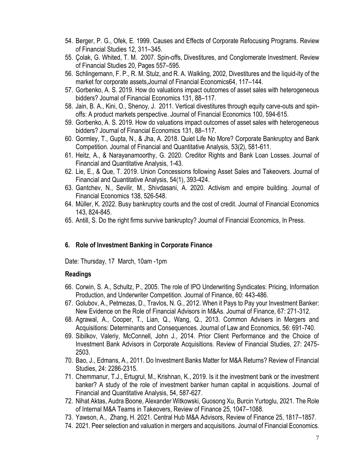- 54. Berger, P. G., Ofek, E. 1999. Causes and Effects of Corporate Refocusing Programs. Review of Financial Studies 12, 311–345.
- 55. Çolak, G. Whited, T. M. 2007. Spin-offs, Divestitures, and Conglomerate Investment. Review of Financial Studies 20, Pages 557–595.
- 56. Schlingemann, F. P., R. M. Stulz, and R. A. Walkling, 2002, Divestitures and the liquid-ity of the market for corporate assets,Journal of Financial Economics64, 117–144.
- 57. Gorbenko, A. S. 2019. How do valuations impact outcomes of asset sales with heterogeneous bidders? Journal of Financial Economics 131, 88–117.
- 58. Jain, B. A., Kini, O., Shenoy, J. 2011. Vertical divestitures through equity carve-outs and spinoffs: A product markets perspective. Journal of Financial Economics 100, 594-615.
- 59. Gorbenko, A. S. 2019. How do valuations impact outcomes of asset sales with heterogeneous bidders? Journal of Financial Economics 131, 88–117.
- 60. Gormley, T., Gupta, N., & Jha, A. 2018. Quiet Life No More? Corporate Bankruptcy and Bank Competition. Journal of Financial and Quantitative Analysis, 53(2), 581-611.
- 61. Heitz, A., & Narayanamoorthy, G. 2020. Creditor Rights and Bank Loan Losses. Journal of Financial and Quantitative Analysis, 1-43.
- 62. Lie, E., & Que, T. 2019. Union Concessions following Asset Sales and Takeovers. Journal of Financial and Quantitative Analysis, 54(1), 393-424.
- 63. Gantchev, N., Sevilir, M., Shivdasani, A. 2020. Activism and empire building. Journal of Financial Economics 138, 526-548.
- 64. Müller, K. 2022. Busy bankruptcy courts and the cost of credit. Journal of Financial Economics 143, 824-845.
- 65. Antill, S. Do the right firms survive bankruptcy? Journal of Financial Economics, In Press.

## **6. Role of Investment Banking in Corporate Finance**

Date: Thursday, 17 March, 10am -1pm

- 66. Corwin, S. A., Schultz, P., 2005. The role of IPO Underwriting Syndicates: Pricing, Information Production, and Underwriter Competition. Journal of Finance, 60: 443-486.
- 67. Golubov, A., Petmezas, D., Travlos, N. G., 2012. When it Pays to Pay your Investment Banker: New Evidence on the Role of Financial Advisors in M&As. Journal of Finance, 67: 271-312.
- 68. Agrawal, A., Cooper, T., Lian, Q., Wang, Q., 2013. Common Advisers in Mergers and Acquisitions: Determinants and Consequences. Journal of Law and Economics, 56: 691-740.
- 69. Sibilkov, Valeriy, McConnell, John J., 2014. Prior Client Performance and the Choice of Investment Bank Advisors in Corporate Acquisitions. Review of Financial Studies, 27: 2475- 2503.
- 70. Bao, J., Edmans, A., 2011. Do Investment Banks Matter for M&A Returns? Review of Financial Studies, 24: 2286-2315.
- 71. Chemmanur, T.J., Ertugrul, M., Krishnan, K., 2019. Is it the investment bank or the investment banker? A study of the role of investment banker human capital in acquisitions. Journal of Financial and Quantitative Analysis, 54, 587-627.
- 72. Nihat Aktas, Audra Boone, Alexander Witkowski, Guosong Xu, Burcin Yurtoglu, 2021. The Role of Internal M&A Teams in Takeovers, Review of Finance 25, 1047–1088.
- 73. Yawson, A., Zhang, H. 2021. Central Hub M&A Advisors, Review of Finance 25, 1817–1857.
- 74. 2021. Peer selection and valuation in mergers and acquisitions. Journal of Financial Economics.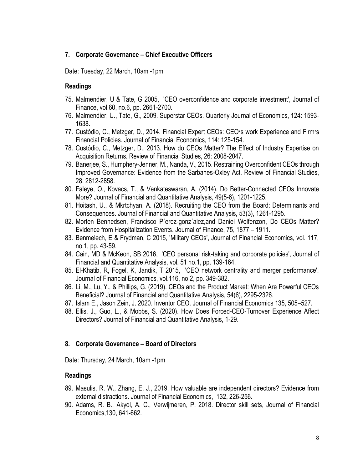# **7. Corporate Governance – Chief Executive Officers**

Date: Tuesday, 22 March, 10am -1pm

#### **Readings**

- 75. Malmendier, U & Tate, G 2005, 'CEO overconfidence and corporate investment', Journal of Finance, vol.60, no.6, pp. 2661-2700.
- 76. Malmendier, U., Tate, G., 2009. Superstar CEOs. Quarterly Journal of Economics, 124: 1593- 1638.
- 77. Custódio, C., Metzger, D., 2014. Financial Expert CEOs: CEO׳s work Experience and Firm׳s Financial Policies. Journal of Financial Economics, 114: 125-154.
- 78. Custódio, C., Metzger, D., 2013. How do CEOs Matter? The Effect of Industry Expertise on Acquisition Returns. Review of Financial Studies, 26: 2008-2047.
- 79. Banerjee, S., Humphery-Jenner, M., Nanda, V., 2015. Restraining Overconfident CEOs through Improved Governance: Evidence from the Sarbanes-Oxley Act. Review of Financial Studies, 28: 2812-2858.
- 80. Faleye, O., Kovacs, T., & Venkateswaran, A. (2014). Do Better-Connected CEOs Innovate More? Journal of Financial and Quantitative Analysis, 49(5-6), 1201-1225.
- 81. Hoitash, U., & Mkrtchyan, A. (2018). Recruiting the CEO from the Board: Determinants and Consequences. Journal of Financial and Quantitative Analysis, 53(3), 1261-1295.
- 82. Morten Bennedsen, Francisco P´erez-gonz´alez,and Daniel Wolfenzon, [Do CEOs Matter?](https://onlinelibrary.wiley.com/doi/10.1111/jofi.12897)  [Evidence from Hospitalization Events.](https://onlinelibrary.wiley.com/doi/10.1111/jofi.12897) Journal of Finance, 75, 1877 – 1911.
- 83. Benmelech, E & Frydman, C 2015, 'Military CEOs', Journal of Financial Economics, vol. 117, no.1, pp. 43-59.
- 84. Cain, MD & McKeon, SB 2016, 'CEO personal risk-taking and corporate policies', Journal of Financial and Quantitative Analysis, vol. 51 no.1, pp. 139-164.
- 85. El-Khatib, R, Fogel, K, Jandik, T 2015, 'CEO network centrality and merger performance'. Journal of Financial Economics, vol.116, no.2, pp. 349-382.
- 86. Li, M., Lu, Y., & Phillips, G. (2019). CEOs and the Product Market: When Are Powerful CEOs Beneficial? Journal of Financial and Quantitative Analysis, 54(6), 2295-2326.
- 87. Islam E., Jason Zein, J. 2020. Inventor CEO. Journal of Financial Economics 135, 505–527.
- 88. Ellis, J., Guo, L., & Mobbs, S. (2020). How Does Forced-CEO-Turnover Experience Affect Directors? Journal of Financial and Quantitative Analysis, 1-29.

#### **8. Corporate Governance – Board of Directors**

Date: Thursday, 24 March, 10am -1pm

- 89. Masulis, R. W., Zhang, E. J., 2019. How valuable are independent directors? Evidence from external distractions. Journal of Financial Economics, 132, 226-256.
- 90. Adams, R. B., Akyol, A. C., Verwijmeren, P. 2018. Director skill sets, Journal of Financial Economics,130, 641-662.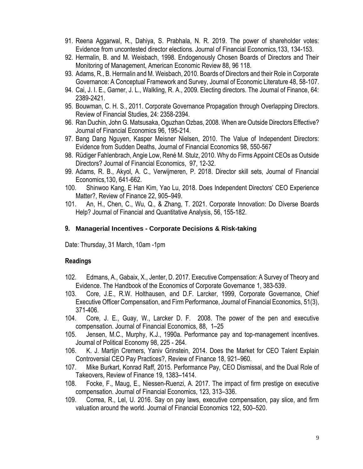- 91. Reena Aggarwal, R., Dahiya, S. Prabhala, N. R. 2019. The power of shareholder votes: Evidence from uncontested director elections. Journal of Financial Economics,133, 134-153.
- 92. Hermalin, B. and M. Weisbach, 1998. Endogenously Chosen Boards of Directors and Their Monitoring of Management, American Economic Review 88, 96 118.
- 93. Adams, R., B. Hermalin and M. Weisbach, 2010. Boards of Directors and their Role in Corporate Governance: A Conceptual Framework and Survey, Journal of Economic Literature 48, 58-107.
- 94. Cai, J. I. E., Garner, J. L., Walkling, R. A., 2009. Electing directors. The Journal of Finance, 64: 2389-2421.
- 95. Bouwman, C. H. S., 2011. Corporate Governance Propagation through Overlapping Directors. Review of Financial Studies, 24: 2358-2394.
- 96. Ran Duchin, John G. Matsusaka, Oguzhan Ozbas, 2008[. When are Outside Directors Effective?](http://www.sciencedirect.com/science/article/pii/S0304405X09002529) Journal of Financial Economics 96, 195-214.
- 97. Bang Dang Nguyen, Kasper Meisner Nielsen, 2010. [The Value of Independent Directors:](http://www.sciencedirect.com/science/article/pii/S0304405X10001741)  [Evidence from Sudden Deaths,](http://www.sciencedirect.com/science/article/pii/S0304405X10001741) Journal of Financial Economics 98, 550-567
- 98. Rüdiger Fahlenbrach, Angie Low, René M. Stulz, 2010. [Why do Firms Appoint CEOs as Outside](http://www.sciencedirect.com/science/article/pii/S0304405X10000139)  [Directors?](http://www.sciencedirect.com/science/article/pii/S0304405X10000139) Journal of Financial Economics, 97, 12-32.
- 99. Adams, R. B., Akyol, A. C., Verwijmeren, P. 2018. Director skill sets, Journal of Financial Economics,130, 641-662.
- 100. Shinwoo Kang, E Han Kim, Yao Lu, 2018. Does Independent Directors' CEO Experience Matter?, Review of Finance 22, 905–949.
- 101. An, H., Chen, C., Wu, Q., & Zhang, T. 2021. Corporate Innovation: Do Diverse Boards Help? Journal of Financial and Quantitative Analysis, 56, 155-182.

#### **9. Managerial Incentives - Corporate Decisions & Risk-taking**

Date: Thursday, 31 March, 10am -1pm

- 102. Edmans, A., Gabaix, X., Jenter, D. 2017. Executive Compensation: A Survey of Theory and Evidence. The Handbook of the Economics of Corporate Governance 1, 383-539.
- 103. Core, J.E., R.W. Holthausen, and D.F. Larcker, 1999, Corporate Governance, Chief Executive Officer Compensation, and Firm Performance, Journal of Financial Economics, 51(3), 371-406.
- 104. Core, J. E., Guay, W., Larcker D. F. 2008. The power of the pen and executive compensation. Journal of Financial Economics, 88, 1–25
- 105. Jensen, M.C., Murphy, K.J., 1990a. Performance pay and top-management incentives. Journal of Political Economy 98, 225 - 264.
- 106. K. J. Martijn Cremers, Yaniv Grinstein, 2014. Does the Market for CEO Talent Explain Controversial CEO Pay Practices?, Review of Finance 18, 921–960.
- 107. Mike Burkart, Konrad Raff, 2015. Performance Pay, CEO Dismissal, and the Dual Role of Takeovers, Review of Finance 19, 1383–1414.
- 108. Focke, F., Maug, E., Niessen-Ruenzi, A. 2017. The impact of firm prestige on executive compensation. Journal of Financial Economics, 123, 313–336.
- 109. Correa, R., Lel, U. 2016. Say on pay laws, executive compensation, pay slice, and firm valuation around the world. Journal of Financial Economics 122, 500–520.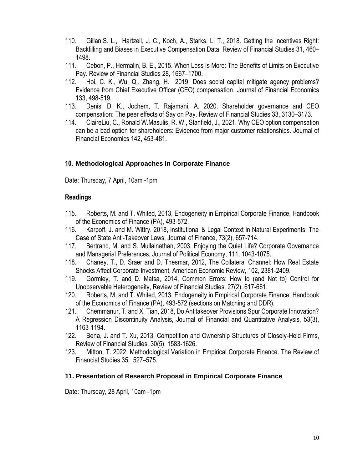- 110. Gillan,S. L., Hartzell, J. C., Koch, A., Starks, L. T., 2018. Getting the Incentives Right: Backfilling and Biases in Executive Compensation Data. Review of Financial Studies 31, 460– 1498.
- 111. Cebon, P., Hermalin, B. E., 2015. When Less Is More: The Benefits of Limits on Executive Pay. Review of Financial Studies 28, 1667–1700.
- 112. Hoi, C. K., Wu, Q., Zhang, H. 2019. Does social capital mitigate agency problems? Evidence from Chief Executive Officer (CEO) compensation. Journal of Financial Economics 133, 498-519.
- 113. Denis, D. K., Jochem, T. Rajamani, A. 2020. Shareholder governance and CEO compensation: The peer effects of Say on Pay. Review of Financial Studies 33, 3130–3173.
- 114. ClaireLiu, C., Ronald W.Masulis, R. W., Stanfield, J., 2021. Why CEO option compensation can be a bad option for shareholders: Evidence from major customer relationships. Journal of Financial Economics 142, 453-481.

#### **10. Methodological Approaches in Corporate Finance**

Date: Thursday, 7 April, 10am -1pm

#### **Readings**

- 115. Roberts, M. and T. Whited, 2013, Endogeneity in Empirical Corporate Finance, Handbook of the Economics of Finance (PA), 493-572.
- 116. Karpoff, J. and M. Wittry, 2018, Institutional & Legal Context in Natural Experiments: The Case of State Anti-Takeover Laws, Journal of Finance, 73(2), 657-714.
- 117. Bertrand, M. and S. Mullainathan, 2003, Enjoying the Quiet Life? Corporate Governance and Managerial Preferences, Journal of Political Economy, 111, 1043-1075.
- 118. Chaney, T., D. Sraer and D. Thesmar, 2012, The Collateral Channel: How Real Estate Shocks Affect Corporate Investment, American Economic Review, 102, 2381-2409.
- 119. Gormley, T. and D. Matsa, 2014, Common Errors: How to (and Not to) Control for Unobservable Heterogeneity, Review of Financial Studies, 27(2), 617-661.
- 120. Roberts, M. and T. Whited, 2013, Endogeneity in Empirical Corporate Finance, Handbook of the Economics of Finance (PA), 493-572 (sections on Matching and DDR).
- 121. Chemmanur, T. and X. Tian, 2018, Do Antitakeover Provisions Spur Corporate Innovation? A Regression Discontinuity Analysis, Journal of Financial and Quantitative Analysis, 53(3), 1163-1194.
- 122. Bena, J. and T. Xu, 2013, Competition and Ownership Structures of Closely-Held Firms, Review of Financial Studies, 30(5), 1583-1626.
- 123. Mitton, T. 2022, Methodological Variation in Empirical Corporate Finance. The Review of Financial Studies 35, 527–575.

#### **11. Presentation of Research Proposal in Empirical Corporate Finance**

Date: Thursday, 28 April, 10am -1pm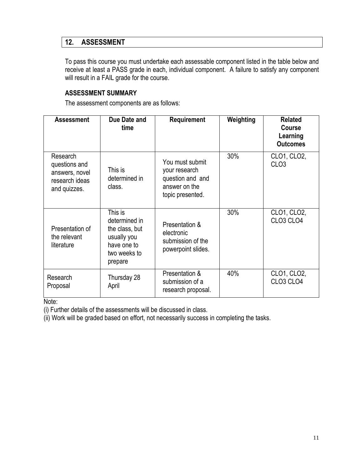# **12. ASSESSMENT**

To pass this course you must undertake each assessable component listed in the table below and receive at least a PASS grade in each, individual component. A failure to satisfy any component will result in a FAIL grade for the course.

# **ASSESSMENT SUMMARY**

The assessment components are as follows:

| <b>Assessment</b>                                                             | Due Date and<br>time                                                                                | Requirement                                                                               | Weighting | <b>Related</b><br><b>Course</b><br>Learning<br><b>Outcomes</b> |
|-------------------------------------------------------------------------------|-----------------------------------------------------------------------------------------------------|-------------------------------------------------------------------------------------------|-----------|----------------------------------------------------------------|
| Research<br>questions and<br>answers, novel<br>research ideas<br>and quizzes. | This is<br>determined in<br>class.                                                                  | You must submit<br>your research<br>question and and<br>answer on the<br>topic presented. | 30%       | CLO1, CLO2,<br>CLO <sub>3</sub>                                |
| Presentation of<br>the relevant<br>literature                                 | This is<br>determined in<br>the class, but<br>usually you<br>have one to<br>two weeks to<br>prepare | Presentation &<br>electronic<br>submission of the<br>powerpoint slides.                   | 30%       | CLO1, CLO2,<br>CLO <sub>3</sub> CLO <sub>4</sub>               |
| Research<br>Proposal                                                          | Thursday 28<br>April                                                                                | Presentation &<br>submission of a<br>research proposal.                                   | 40%       | CLO1, CLO2,<br>CLO <sub>3</sub> CLO <sub>4</sub>               |

Note:

(i) Further details of the assessments will be discussed in class.

(ii) Work will be graded based on effort, not necessarily success in completing the tasks.